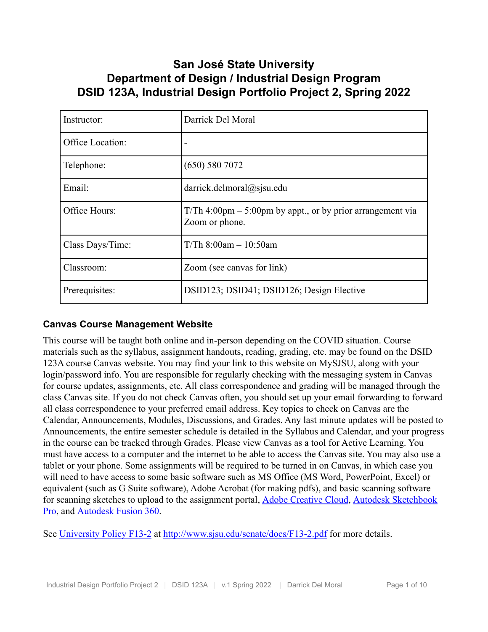# **San José State University Department of Design / Industrial Design Program DSID 123A, Industrial Design Portfolio Project 2, Spring 2022**

| Instructor:      | Darrick Del Moral                                                              |
|------------------|--------------------------------------------------------------------------------|
| Office Location: |                                                                                |
| Telephone:       | (650) 580 7072                                                                 |
| Email:           | darrick.delmoral@sjsu.edu                                                      |
| Office Hours:    | $T/Th$ 4:00pm – 5:00pm by appt., or by prior arrangement via<br>Zoom or phone. |
| Class Days/Time: | T/Th $8:00am - 10:50am$                                                        |
| Classroom:       | Zoom (see canvas for link)                                                     |
| Prerequisites:   | DSID123; DSID41; DSID126; Design Elective                                      |

# **Canvas Course Management Website**

This course will be taught both online and in-person depending on the COVID situation. Course materials such as the syllabus, assignment handouts, reading, grading, etc. may be found on the DSID 123A course Canvas website. You may find your link to this website on MySJSU, along with your login/password info. You are responsible for regularly checking with the messaging system in Canvas for course updates, assignments, etc. All class correspondence and grading will be managed through the class Canvas site. If you do not check Canvas often, you should set up your email forwarding to forward all class correspondence to your preferred email address. Key topics to check on Canvas are the Calendar, Announcements, Modules, Discussions, and Grades. Any last minute updates will be posted to Announcements, the entire semester schedule is detailed in the Syllabus and Calendar, and your progress in the course can be tracked through Grades. Please view Canvas as a tool for Active Learning. You must have access to a computer and the internet to be able to access the Canvas site. You may also use a tablet or your phone. Some assignments will be required to be turned in on Canvas, in which case you will need to have access to some basic software such as MS Office (MS Word, PowerPoint, Excel) or equivalent (such as G Suite software), Adobe Acrobat (for making pdfs), and basic scanning software for scanning sketches to upload to the assignment portal, [Adobe Creative Cloud](https://www.sjsu.edu/ecampus/teaching-tools/adobe/students/index.html), [Autodesk Sketchbook](https://www.autodesk.com/education/free-software/sketchbook-students) [Pro,](https://www.autodesk.com/education/free-software/sketchbook-students) and [Autodesk Fusion 360.](https://www.autodesk.com/education/edu-software/overview?sorting=featured&page=1)

See [University Policy F13-2](http://www.sjsu.edu/senate/docs/F13-2.pdf) at <http://www.sjsu.edu/senate/docs/F13-2.pdf> for more details.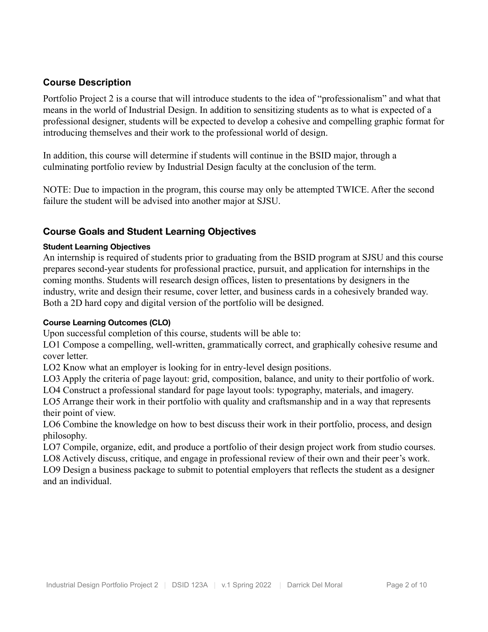## **Course Description**

Portfolio Project 2 is a course that will introduce students to the idea of "professionalism" and what that means in the world of Industrial Design. In addition to sensitizing students as to what is expected of a professional designer, students will be expected to develop a cohesive and compelling graphic format for introducing themselves and their work to the professional world of design.

In addition, this course will determine if students will continue in the BSID major, through a culminating portfolio review by Industrial Design faculty at the conclusion of the term.

NOTE: Due to impaction in the program, this course may only be attempted TWICE. After the second failure the student will be advised into another major at SJSU.

## **Course Goals and Student Learning Objectives**

#### **Student Learning Objectives**

An internship is required of students prior to graduating from the BSID program at SJSU and this course prepares second-year students for professional practice, pursuit, and application for internships in the coming months. Students will research design offices, listen to presentations by designers in the industry, write and design their resume, cover letter, and business cards in a cohesively branded way. Both a 2D hard copy and digital version of the portfolio will be designed.

#### **Course Learning Outcomes (CLO)**

Upon successful completion of this course, students will be able to:

LO1 Compose a compelling, well-written, grammatically correct, and graphically cohesive resume and cover letter.

LO2 Know what an employer is looking for in entry-level design positions.

LO3 Apply the criteria of page layout: grid, composition, balance, and unity to their portfolio of work.

LO4 Construct a professional standard for page layout tools: typography, materials, and imagery. LO5 Arrange their work in their portfolio with quality and craftsmanship and in a way that represents their point of view.

LO6 Combine the knowledge on how to best discuss their work in their portfolio, process, and design philosophy.

LO7 Compile, organize, edit, and produce a portfolio of their design project work from studio courses. LO8 Actively discuss, critique, and engage in professional review of their own and their peer's work.

LO9 Design a business package to submit to potential employers that reflects the student as a designer and an individual.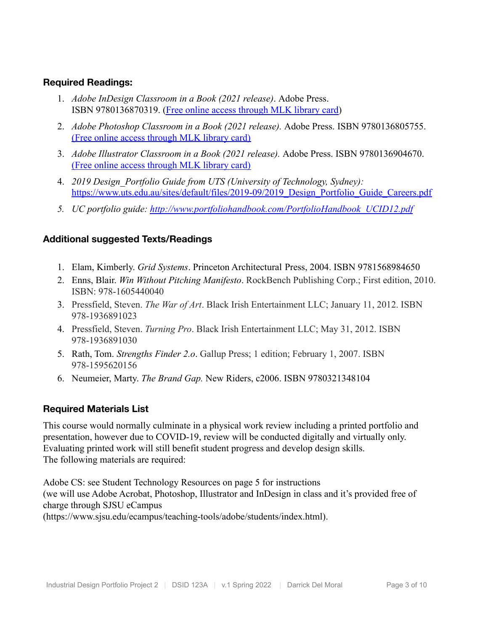## **Required Readings:**

- 1. *Adobe InDesign Classroom in a Book (2021 release)*. Adobe Press. ISBN 9780136870319. [\(Free online access through MLK](https://learning.oreilly.com/library/view/adobe-indesign-classroom/9780136870319/) library card)
- 2. *Adobe Photoshop Classroom in a Book (2021 release).* Adobe Press. ISBN 9780136805755. [\(Free online access through MLK library card\)](https://sjsu-primo.hosted.exlibrisgroup.com/primo-explore/fulldisplay?docid=TN_cdi_safari_books_9780136904670&context=PC&vid=01CALS_SJO&lang=en_US&search_scope=EVERYTHING&adaptor=primo_central_multiple_fe&tab=everything&query=any,contains,adobe%20photoshop%20classroom%20in%20a%20book&offset=0)
- 3. *Adobe Illustrator Classroom in a Book (2021 release).* Adobe Press. ISBN 9780136904670. [\(Free online access through MLK library card\)](https://sjsu-primo.hosted.exlibrisgroup.com/primo-explore/fulldisplay?docid=01CALS_ALMA51597227390002901&context=L&vid=01CALS_SJO&lang=en_US&search_scope=EVERYTHING&adaptor=Local%20Search%20Engine&tab=everything&query=any,contains,adobe%20illustator%20classroom%20in%20a%20book&offset=0)
- 4. *2019 Design\_Portfolio Guide from UTS (University of Technology, Sydney):* https://www.uts.edu.au/sites/default/files/2019-09/2019 Design Portfolio Guide Careers.pdf
- *5. UC portfolio guide: [http://www.portfoliohandbook.com/PortfolioHandbook\\_UCID12.pdf](http://www.portfoliohandbook.com/PortfolioHandbook_UCID12.pdf)*

## **Additional suggested Texts/Readings**

- 1. Elam, Kimberly. *Grid Systems*. Princeton Architectural Press, 2004. ISBN 9781568984650
- 2. Enns, Blair. *Win Without Pitching Manifesto*. RockBench Publishing Corp.; First edition, 2010. ISBN: 978-1605440040
- 3. Pressfield, Steven. *The War of Art*. Black Irish Entertainment LLC; January 11, 2012. ISBN 978-1936891023
- 4. Pressfield, Steven. *Turning Pro*. Black Irish Entertainment LLC; May 31, 2012. ISBN 978-1936891030
- 5. Rath, Tom. *Strengths Finder 2.o*. Gallup Press; 1 edition; February 1, 2007. ISBN 978-1595620156
- 6. Neumeier, Marty. *The Brand Gap.* New Riders, c2006. ISBN 9780321348104

## **Required Materials List**

This course would normally culminate in a physical work review including a printed portfolio and presentation, however due to COVID-19, review will be conducted digitally and virtually only. Evaluating printed work will still benefit student progress and develop design skills. The following materials are required:

Adobe CS: see Student Technology Resources on page 5 for instructions (we will use Adobe Acrobat, Photoshop, Illustrator and InDesign in class and it's provided free of charge through SJSU eCampus

(https://www.sjsu.edu/ecampus/teaching-tools/adobe/students/index.html).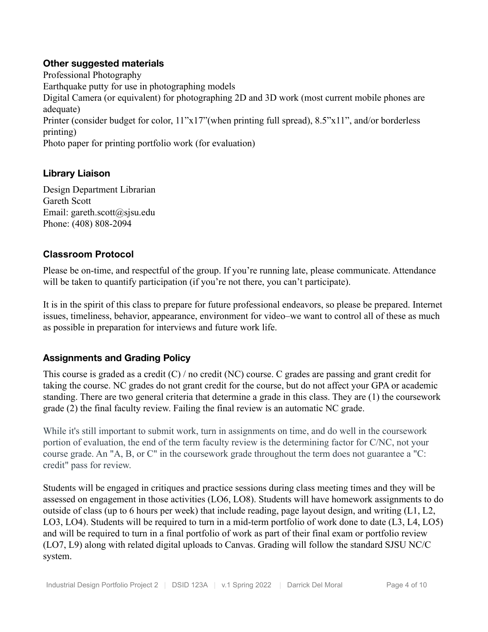## **Other suggested materials**

Professional Photography Earthquake putty for use in photographing models Digital Camera (or equivalent) for photographing 2D and 3D work (most current mobile phones are adequate) Printer (consider budget for color,  $11"x17"$  (when printing full spread),  $8.5"x11"$ , and/or borderless printing) Photo paper for printing portfolio work (for evaluation)

## **Library Liaison**

Design Department Librarian Gareth Scott Email: gareth.scott@sjsu.edu Phone: (408) 808-2094

#### **Classroom Protocol**

Please be on-time, and respectful of the group. If you're running late, please communicate. Attendance will be taken to quantify participation (if you're not there, you can't participate).

It is in the spirit of this class to prepare for future professional endeavors, so please be prepared. Internet issues, timeliness, behavior, appearance, environment for video–we want to control all of these as much as possible in preparation for interviews and future work life.

## **Assignments and Grading Policy**

This course is graded as a credit  $(C)$  / no credit (NC) course. C grades are passing and grant credit for taking the course. NC grades do not grant credit for the course, but do not affect your GPA or academic standing. There are two general criteria that determine a grade in this class. They are (1) the coursework grade (2) the final faculty review. Failing the final review is an automatic NC grade.

While it's still important to submit work, turn in assignments on time, and do well in the coursework portion of evaluation, the end of the term faculty review is the determining factor for C/NC, not your course grade. An "A, B, or C" in the coursework grade throughout the term does not guarantee a "C: credit" pass for review.

Students will be engaged in critiques and practice sessions during class meeting times and they will be assessed on engagement in those activities (LO6, LO8). Students will have homework assignments to do outside of class (up to 6 hours per week) that include reading, page layout design, and writing (L1, L2, LO3, LO4). Students will be required to turn in a mid-term portfolio of work done to date (L3, L4, LO5) and will be required to turn in a final portfolio of work as part of their final exam or portfolio review (LO7, L9) along with related digital uploads to Canvas. Grading will follow the standard SJSU NC/C system.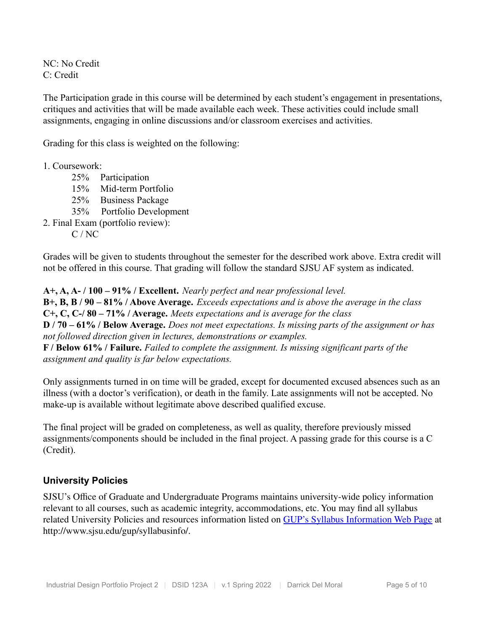NC: No Credit C: Credit

The Participation grade in this course will be determined by each student's engagement in presentations, critiques and activities that will be made available each week. These activities could include small assignments, engaging in online discussions and/or classroom exercises and activities.

Grading for this class is weighted on the following:

#### 1. Coursework:

- 25% Participation
- 15% Mid-term Portfolio
- 25% Business Package
- 35% Portfolio Development
- 2. Final Exam (portfolio review):

C / NC

Grades will be given to students throughout the semester for the described work above. Extra credit will not be offered in this course. That grading will follow the standard SJSU AF system as indicated.

**A+, A, A- / 100 – 91% / Excellent.** *Nearly perfect and near professional level.* **B+, B, B / 90 – 81% / Above Average.** *Exceeds expectations and is above the average in the class* **C+, C, C-/ 80 – 71% / Average.** *Meets expectations and is average for the class* **D / 70 – 61% / Below Average.** *Does not meet expectations. Is missing parts of the assignment or has not followed direction given in lectures, demonstrations or examples.* **F / Below 61% / Failure.** *Failed to complete the assignment. Is missing significant parts of the assignment and quality is far below expectations.*

Only assignments turned in on time will be graded, except for documented excused absences such as an illness (with a doctor's verification), or death in the family. Late assignments will not be accepted. No make-up is available without legitimate above described qualified excuse.

The final project will be graded on completeness, as well as quality, therefore previously missed assignments/components should be included in the final project. A passing grade for this course is a C (Credit).

## **University Policies**

SJSU's Office of Graduate and Undergraduate Programs maintains university-wide policy information relevant to all courses, such as academic integrity, accommodations, etc. You may find all syllabus related University Policies and resources information listed on GUP's Syllabus [Information](http://www.sjsu.edu/gup/syllabusinfo/) Web Page at http://www.sjsu.edu/gup/syllabusinfo/.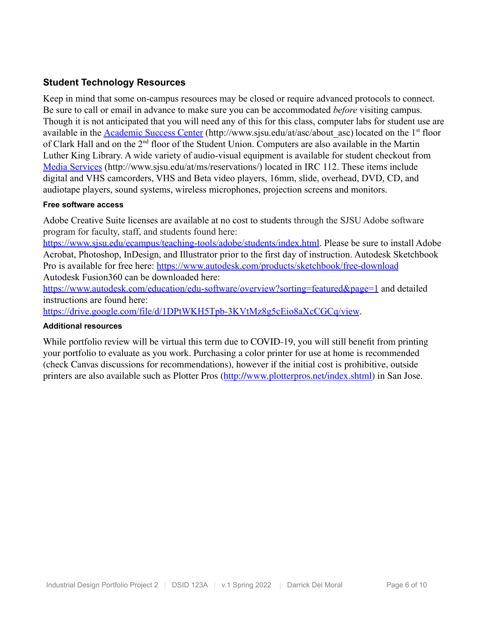## **Student Technology Resources**

Keep in mind that some on-campus resources may be closed or require advanced protocols to connect. Be sure to call or email in advance to make sure you can be accommodated *before* visiting campus. Though it is not anticipated that you will need any of this for this class, computer labs for student use are available in the **[Academic Success Center](http://www.sjsu.edu/at/asc/about_asc/)** (http://www.sjsu.edu/at/asc/about asc) located on the 1<sup>st</sup> floor of Clark Hall and on the 2<sup>nd</sup> floor of the Student Union. Computers are also available in the Martin Luther King Library. A wide variety of audio-visual equipment is available for student checkout from [Media Services](http://www.sjsu.edu/at/ms/reservations/) (http://www.sjsu.edu/at/ms/reservations/) located in IRC 112. These items include digital and VHS camcorders, VHS and Beta video players, 16mm, slide, overhead, DVD, CD, and audiotape players, sound systems, wireless microphones, projection screens and monitors.

#### **Free software access**

Adobe Creative Suite licenses are available at no cost to students through the SJSU Adobe software program for faculty, staff, and students found here:

[https://www.sjsu.edu/ecampus/teaching-tools/adobe/students/index.html.](https://www.sjsu.edu/ecampus/teaching-tools/adobe/students/index.html) Please be sure to install Adobe Acrobat, Photoshop, InDesign, and Illustrator prior to the first day of instruction. Autodesk Sketchbook Pro is available for free here: <https://www.autodesk.com/products/sketchbook/free-download> Autodesk Fusion360 can be downloaded here:

<https://www.autodesk.com/education/edu-software/overview?sorting=featured&page=1> and detailed instructions are found here:

<https://drive.google.com/file/d/1DPtWKH5Tpb-3KVtMz8g5cEio8aXcCGCq/view>.

#### **Additional resources**

While portfolio review will be virtual this term due to COVID-19, you will still benefit from printing your portfolio to evaluate as you work. Purchasing a color printer for use at home is recommended (check Canvas discussions for recommendations), however if the initial cost is prohibitive, outside printers are also available such as Plotter Pros ([http://www.plotterpros.net/index.shtml\)](http://www.plotterpros.net/index.shtml) in San Jose.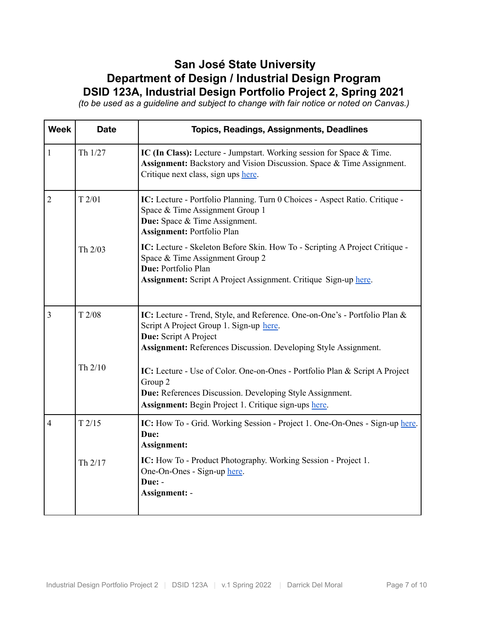# **San José State University Department of Design / Industrial Design Program DSID 123A, Industrial Design Portfolio Project 2, Spring 2021**

*(to be used as a guideline and subject to change with fair notice or noted on Canvas.)*

| <b>Week</b>    | <b>Date</b> | <b>Topics, Readings, Assignments, Deadlines</b>                                                                                                                                                                          |
|----------------|-------------|--------------------------------------------------------------------------------------------------------------------------------------------------------------------------------------------------------------------------|
| $\mathbf{1}$   | Th 1/27     | IC (In Class): Lecture - Jumpstart. Working session for Space & Time.<br>Assignment: Backstory and Vision Discussion. Space & Time Assignment.<br>Critique next class, sign ups here.                                    |
| $\overline{2}$ | T2/01       | IC: Lecture - Portfolio Planning. Turn 0 Choices - Aspect Ratio. Critique -<br>Space & Time Assignment Group 1<br>Due: Space & Time Assignment.<br><b>Assignment: Portfolio Plan</b>                                     |
|                | Th 2/03     | IC: Lecture - Skeleton Before Skin. How To - Scripting A Project Critique -<br>Space & Time Assignment Group 2<br>Due: Portfolio Plan<br><b>Assignment:</b> Script A Project Assignment. Critique Sign-up here.          |
| $\overline{3}$ | T2/08       | IC: Lecture - Trend, Style, and Reference. One-on-One's - Portfolio Plan &<br>Script A Project Group 1. Sign-up here.<br>Due: Script A Project<br><b>Assignment:</b> References Discussion. Developing Style Assignment. |
|                | Th 2/10     | IC: Lecture - Use of Color. One-on-Ones - Portfolio Plan & Script A Project<br>Group 2<br>Due: References Discussion. Developing Style Assignment.<br><b>Assignment:</b> Begin Project 1. Critique sign-ups here.        |
| $\overline{4}$ | T2/15       | IC: How To - Grid. Working Session - Project 1. One-On-Ones - Sign-up here.<br>Due:<br><b>Assignment:</b>                                                                                                                |
|                | Th 2/17     | IC: How To - Product Photography. Working Session - Project 1.<br>One-On-Ones - Sign-up here.<br>Due: -<br>Assignment: -                                                                                                 |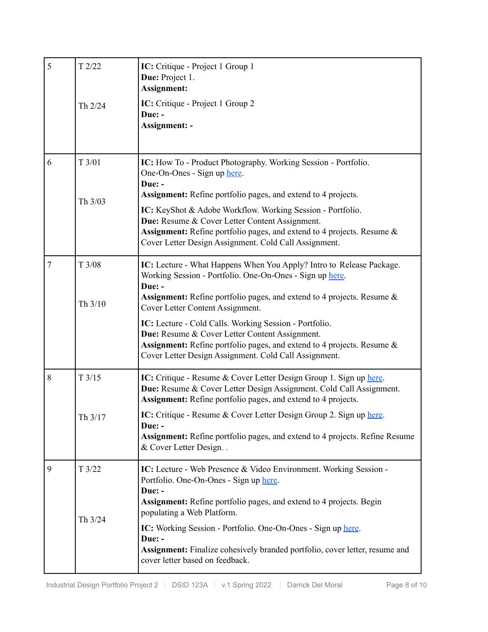| 5 | T2/22   | IC: Critique - Project 1 Group 1<br>Due: Project 1.<br>Assignment:                                                                                                                                                                                        |
|---|---------|-----------------------------------------------------------------------------------------------------------------------------------------------------------------------------------------------------------------------------------------------------------|
|   | Th 2/24 | IC: Critique - Project 1 Group 2<br>Due: -<br><b>Assignment: -</b>                                                                                                                                                                                        |
| 6 | T3/01   | IC: How To - Product Photography. Working Session - Portfolio.<br>One-On-Ones - Sign up here.<br>Due: -                                                                                                                                                   |
|   | Th 3/03 | <b>Assignment:</b> Refine portfolio pages, and extend to 4 projects.                                                                                                                                                                                      |
|   |         | IC: KeyShot & Adobe Workflow. Working Session - Portfolio.<br>Due: Resume & Cover Letter Content Assignment.<br><b>Assignment:</b> Refine portfolio pages, and extend to 4 projects. Resume $\&$<br>Cover Letter Design Assignment. Cold Call Assignment. |
| 7 | T 3/08  | IC: Lecture - What Happens When You Apply? Intro to Release Package.<br>Working Session - Portfolio. One-On-Ones - Sign up here.<br>Due: -                                                                                                                |
|   | Th 3/10 | Assignment: Refine portfolio pages, and extend to 4 projects. Resume &<br>Cover Letter Content Assignment.                                                                                                                                                |
|   |         | IC: Lecture - Cold Calls. Working Session - Portfolio.<br>Due: Resume & Cover Letter Content Assignment.<br>Assignment: Refine portfolio pages, and extend to 4 projects. Resume &<br>Cover Letter Design Assignment. Cold Call Assignment.               |
| 8 | T3/15   | <b>IC:</b> Critique - Resume & Cover Letter Design Group 1. Sign up here.<br>Due: Resume & Cover Letter Design Assignment. Cold Call Assignment.<br><b>Assignment:</b> Refine portfolio pages, and extend to 4 projects.                                  |
|   | Th 3/17 | IC: Critique - Resume & Cover Letter Design Group 2. Sign up here.                                                                                                                                                                                        |
|   |         | Due: -<br><b>Assignment:</b> Refine portfolio pages, and extend to 4 projects. Refine Resume<br>& Cover Letter Design                                                                                                                                     |
| 9 | T3/22   | IC: Lecture - Web Presence & Video Environment. Working Session -<br>Portfolio. One-On-Ones - Sign up here.<br>Due: -                                                                                                                                     |
|   | Th 3/24 | <b>Assignment:</b> Refine portfolio pages, and extend to 4 projects. Begin<br>populating a Web Platform.                                                                                                                                                  |
|   |         | IC: Working Session - Portfolio. One-On-Ones - Sign up here.<br>Due: -                                                                                                                                                                                    |
|   |         | <b>Assignment:</b> Finalize cohesively branded portfolio, cover letter, resume and<br>cover letter based on feedback.                                                                                                                                     |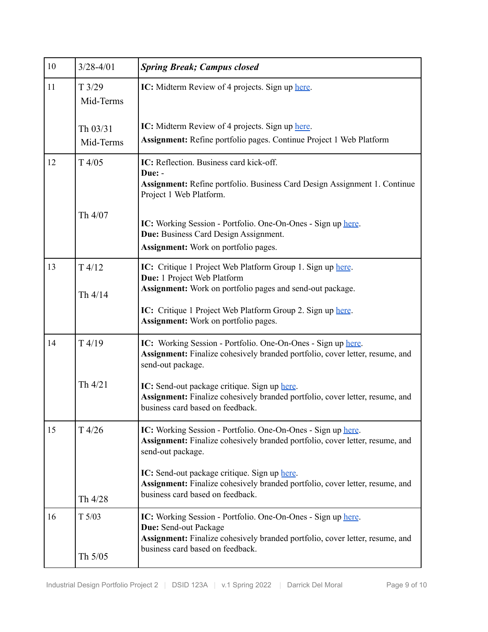| 10 | $3/28 - 4/01$         | <b>Spring Break; Campus closed</b>                                                                                                                                                                                                                           |
|----|-----------------------|--------------------------------------------------------------------------------------------------------------------------------------------------------------------------------------------------------------------------------------------------------------|
| 11 | T3/29<br>Mid-Terms    | <b>IC:</b> Midterm Review of 4 projects. Sign up here.                                                                                                                                                                                                       |
|    | Th 03/31<br>Mid-Terms | IC: Midterm Review of 4 projects. Sign up here.<br><b>Assignment:</b> Refine portfolio pages. Continue Project 1 Web Platform                                                                                                                                |
| 12 | T4/05                 | IC: Reflection. Business card kick-off.<br>Due: -<br>Assignment: Refine portfolio. Business Card Design Assignment 1. Continue<br>Project 1 Web Platform.                                                                                                    |
|    | Th 4/07               | IC: Working Session - Portfolio. One-On-Ones - Sign up here.<br>Due: Business Card Design Assignment.<br><b>Assignment:</b> Work on portfolio pages.                                                                                                         |
| 13 | T4/12<br>Th 4/14      | IC: Critique 1 Project Web Platform Group 1. Sign up here.<br>Due: 1 Project Web Platform<br>Assignment: Work on portfolio pages and send-out package.<br>IC: Critique 1 Project Web Platform Group 2. Sign up here.<br>Assignment: Work on portfolio pages. |
| 14 | T4/19                 | IC: Working Session - Portfolio. One-On-Ones - Sign up here.<br>Assignment: Finalize cohesively branded portfolio, cover letter, resume, and<br>send-out package.                                                                                            |
|    | Th 4/21               | IC: Send-out package critique. Sign up here.<br>Assignment: Finalize cohesively branded portfolio, cover letter, resume, and<br>business card based on feedback.                                                                                             |
| 15 | T4/26                 | IC: Working Session - Portfolio. One-On-Ones - Sign up here.<br>Assignment: Finalize cohesively branded portfolio, cover letter, resume, and<br>send-out package.                                                                                            |
|    | Th 4/28               | IC: Send-out package critique. Sign up here.<br>Assignment: Finalize cohesively branded portfolio, cover letter, resume, and<br>business card based on feedback.                                                                                             |
| 16 | T 5/03<br>Th 5/05     | IC: Working Session - Portfolio. One-On-Ones - Sign up here.<br>Due: Send-out Package<br>Assignment: Finalize cohesively branded portfolio, cover letter, resume, and<br>business card based on feedback.                                                    |